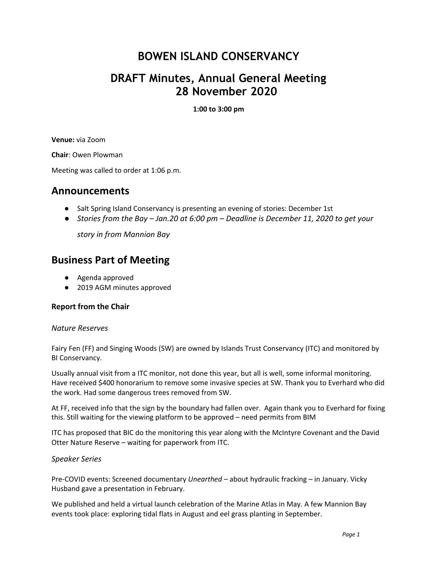# **BOWEN ISLAND CONSERVANCY**

## **DRAFT Minutes, Annual General Meeting 28 November 2020**

**1:00 to 3:00 pm**

**Venue:** via Zoom

**Chair**: Owen Plowman

Meeting was called to order at 1:06 p.m.

### **Announcements**

- Salt Spring Island Conservancy is presenting an evening of stories: December 1st
- *● Stories from the Bay Jan.20 at 6:00 pm Deadline is December 11, 2020 to get your*

*story in from Mannion Bay*

### **Business Part of Meeting**

- Agenda approved
- 2019 AGM minutes approved

#### **Report from the Chair**

#### *Nature Reserves*

Fairy Fen (FF) and Singing Woods (SW) are owned by Islands Trust Conservancy (ITC) and monitored by BI Conservancy.

Usually annual visit from a ITC monitor, not done this year, but all is well, some informal monitoring. Have received \$400 honorarium to remove some invasive species at SW. Thank you to Everhard who did the work. Had some dangerous trees removed from SW.

At FF, received info that the sign by the boundary had fallen over. Again thank you to Everhard for fixing this. Still waiting for the viewing platform to be approved – need permits from BIM

ITC has proposed that BIC do the monitoring this year along with the McIntyre Covenant and the David Otter Nature Reserve – waiting for paperwork from ITC.

#### *Speaker Series*

Pre-COVID events: Screened documentary *Unearthed* – about hydraulic fracking – in January. Vicky Husband gave a presentation in February.

We published and held a virtual launch celebration of the Marine Atlas in May. A few Mannion Bay events took place: exploring tidal flats in August and eel grass planting in September.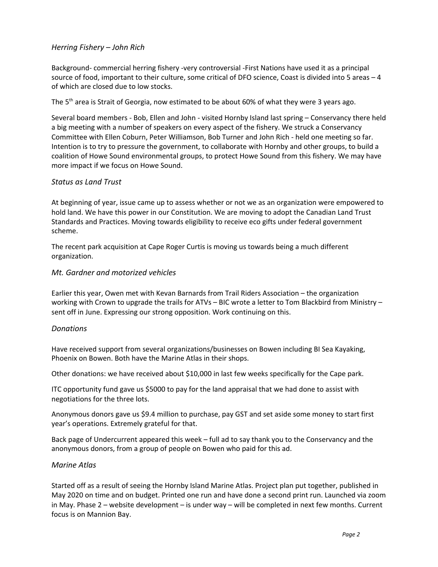#### *Herring Fishery – John Rich*

Background- commercial herring fishery -very controversial -First Nations have used it as a principal source of food, important to their culture, some critical of DFO science, Coast is divided into 5 areas – 4 of which are closed due to low stocks.

The 5<sup>th</sup> area is Strait of Georgia, now estimated to be about 60% of what they were 3 years ago.

Several board members - Bob, Ellen and John - visited Hornby Island last spring – Conservancy there held a big meeting with a number of speakers on every aspect of the fishery. We struck a Conservancy Committee with Ellen Coburn, Peter Williamson, Bob Turner and John Rich - held one meeting so far. Intention is to try to pressure the government, to collaborate with Hornby and other groups, to build a coalition of Howe Sound environmental groups, to protect Howe Sound from this fishery. We may have more impact if we focus on Howe Sound.

#### *Status as Land Trust*

At beginning of year, issue came up to assess whether or not we as an organization were empowered to hold land. We have this power in our Constitution. We are moving to adopt the Canadian Land Trust Standards and Practices. Moving towards eligibility to receive eco gifts under federal government scheme.

The recent park acquisition at Cape Roger Curtis is moving us towards being a much different organization.

#### *Mt. Gardner and motorized vehicles*

Earlier this year, Owen met with Kevan Barnards from Trail Riders Association – the organization working with Crown to upgrade the trails for ATVs – BIC wrote a letter to Tom Blackbird from Ministry – sent off in June. Expressing our strong opposition. Work continuing on this.

#### *Donations*

Have received support from several organizations/businesses on Bowen including BI Sea Kayaking, Phoenix on Bowen. Both have the Marine Atlas in their shops.

Other donations: we have received about \$10,000 in last few weeks specifically for the Cape park.

ITC opportunity fund gave us \$5000 to pay for the land appraisal that we had done to assist with negotiations for the three lots.

Anonymous donors gave us \$9.4 million to purchase, pay GST and set aside some money to start first year's operations. Extremely grateful for that.

Back page of Undercurrent appeared this week – full ad to say thank you to the Conservancy and the anonymous donors, from a group of people on Bowen who paid for this ad.

#### *Marine Atlas*

Started off as a result of seeing the Hornby Island Marine Atlas. Project plan put together, published in May 2020 on time and on budget. Printed one run and have done a second print run. Launched via zoom in May. Phase 2 – website development – is under way – will be completed in next few months. Current focus is on Mannion Bay.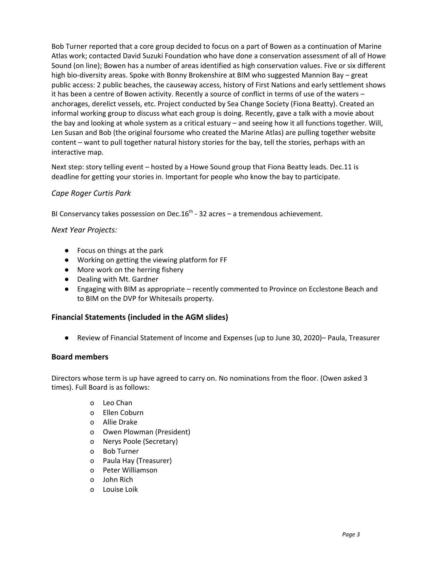Bob Turner reported that a core group decided to focus on a part of Bowen as a continuation of Marine Atlas work; contacted David Suzuki Foundation who have done a conservation assessment of all of Howe Sound (on line); Bowen has a number of areas identified as high conservation values. Five or six different high bio-diversity areas. Spoke with Bonny Brokenshire at BIM who suggested Mannion Bay – great public access: 2 public beaches, the causeway access, history of First Nations and early settlement shows it has been a centre of Bowen activity. Recently a source of conflict in terms of use of the waters – anchorages, derelict vessels, etc. Project conducted by Sea Change Society (Fiona Beatty). Created an informal working group to discuss what each group is doing. Recently, gave a talk with a movie about the bay and looking at whole system as a critical estuary – and seeing how it all functions together. Will, Len Susan and Bob (the original foursome who created the Marine Atlas) are pulling together website content – want to pull together natural history stories for the bay, tell the stories, perhaps with an interactive map.

Next step: story telling event – hosted by a Howe Sound group that Fiona Beatty leads. Dec.11 is deadline for getting your stories in. Important for people who know the bay to participate.

#### *Cape Roger Curtis Park*

BI Conservancy takes possession on Dec.16<sup>th</sup> - 32 acres – a tremendous achievement.

*Next Year Projects:*

- Focus on things at the park
- Working on getting the viewing platform for FF
- More work on the herring fishery
- Dealing with Mt. Gardner
- Engaging with BIM as appropriate recently commented to Province on Ecclestone Beach and to BIM on the DVP for Whitesails property.

#### **Financial Statements (included in the AGM slides)**

● Review of Financial Statement of Income and Expenses (up to June 30, 2020)– Paula, Treasurer

#### **Board members**

Directors whose term is up have agreed to carry on. No nominations from the floor. (Owen asked 3 times). Full Board is as follows:

- o Leo Chan
- o Ellen Coburn
- o Allie Drake
- o Owen Plowman (President)
- o Nerys Poole (Secretary)
- o Bob Turner
- o Paula Hay (Treasurer)
- o Peter Williamson
- o John Rich
- o Louise Loik